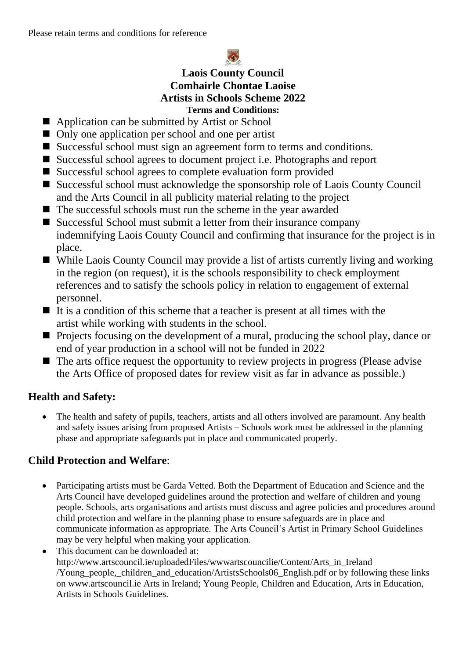

### **Laois County Council Comhairle Chontae Laoise Artists in Schools Scheme 2022 Terms and Conditions:**

- Application can be submitted by Artist or School
- Only one application per school and one per artist
- Successful school must sign an agreement form to terms and conditions.
- Successful school agrees to document project i.e. Photographs and report
- Successful school agrees to complete evaluation form provided
- Successful school must acknowledge the sponsorship role of Laois County Council and the Arts Council in all publicity material relating to the project
- The successful schools must run the scheme in the year awarded
- Successful School must submit a letter from their insurance company indemnifying Laois County Council and confirming that insurance for the project is in place.
- While Laois County Council may provide a list of artists currently living and working in the region (on request), it is the schools responsibility to check employment references and to satisfy the schools policy in relation to engagement of external personnel.
- $\blacksquare$  It is a condition of this scheme that a teacher is present at all times with the artist while working with students in the school.
- Projects focusing on the development of a mural, producing the school play, dance or end of year production in a school will not be funded in 2022
- $\blacksquare$  The arts office request the opportunity to review projects in progress (Please advise the Arts Office of proposed dates for review visit as far in advance as possible.)

# **Health and Safety:**

• The health and safety of pupils, teachers, artists and all others involved are paramount. Any health and safety issues arising from proposed Artists – Schools work must be addressed in the planning phase and appropriate safeguards put in place and communicated properly.

# **Child Protection and Welfare**:

- Participating artists must be Garda Vetted. Both the Department of Education and Science and the Arts Council have developed guidelines around the protection and welfare of children and young people. Schools, arts organisations and artists must discuss and agree policies and procedures around child protection and welfare in the planning phase to ensure safeguards are in place and communicate information as appropriate. The Arts Council's Artist in Primary School Guidelines may be very helpful when making your application.
- This document can be downloaded at: http://www.artscouncil.ie/uploadedFiles/wwwartscouncilie/Content/Arts\_in\_Ireland /Young\_people,\_children\_and\_education/ArtistsSchools06\_English.pdf or by following these links on www.artscouncil.ie Arts in Ireland; Young People, Children and Education, Arts in Education, Artists in Schools Guidelines.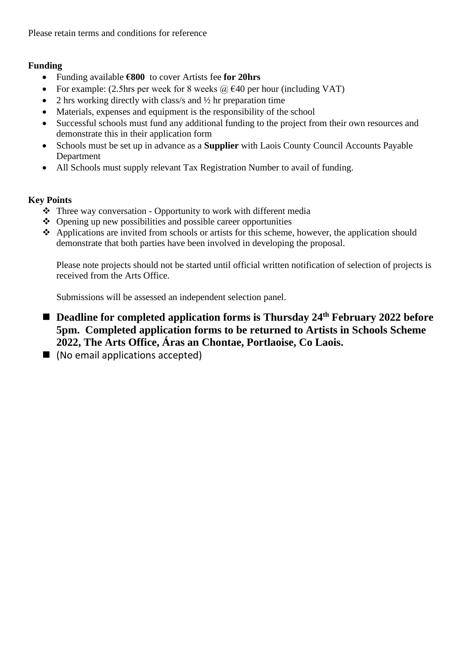Please retain terms and conditions for reference

#### **Funding**

- Funding available **€800** to cover Artists fee **for 20hrs**
- For example: (2.5hrs per week for 8 weeks  $\omega$   $\in$  40 per hour (including VAT)
- 2 hrs working directly with class/s and  $\frac{1}{2}$  hr preparation time
- Materials, expenses and equipment is the responsibility of the school
- Successful schools must fund any additional funding to the project from their own resources and demonstrate this in their application form
- Schools must be set up in advance as a **Supplier** with Laois County Council Accounts Payable Department
- All Schools must supply relevant Tax Registration Number to avail of funding.

#### **Key Points**

- ❖ Three way conversation Opportunity to work with different media
- ❖ Opening up new possibilities and possible career opportunities
- ❖ Applications are invited from schools or artists for this scheme, however, the application should demonstrate that both parties have been involved in developing the proposal.

Please note projects should not be started until official written notification of selection of projects is received from the Arts Office.

Submissions will be assessed an independent selection panel.

- Deadline for completed application forms is Thursday 24<sup>th</sup> February 2022 before **5pm. Completed application forms to be returned to Artists in Schools Scheme 2022, The Arts Office, Áras an Chontae, Portlaoise, Co Laois.**
- (No email applications accepted)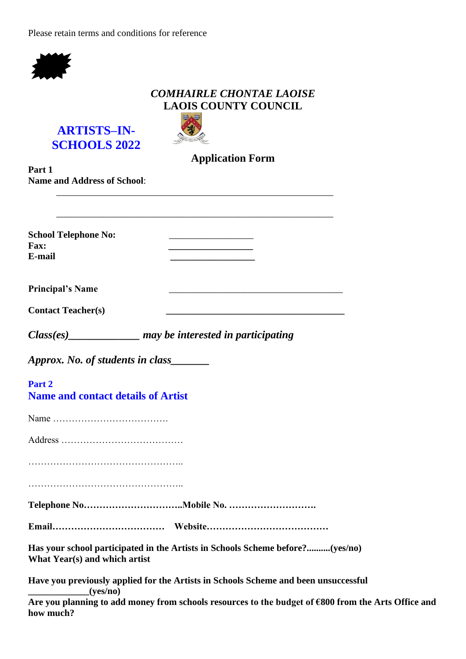Please retain terms and conditions for reference



### *COMHAIRLE CHONTAE LAOISE* **LAOIS COUNTY COUNCIL**



e∧⊖ *<u>Ure</u>* leis an

**Application Form**

| Part 1<br><b>Name and Address of School:</b>         |                                                                                     |
|------------------------------------------------------|-------------------------------------------------------------------------------------|
|                                                      |                                                                                     |
|                                                      |                                                                                     |
| <b>School Telephone No:</b><br><b>Fax:</b><br>E-mail |                                                                                     |
| <b>Principal's Name</b>                              |                                                                                     |
| <b>Contact Teacher(s)</b>                            |                                                                                     |
|                                                      | $Class(es)$ may be interested in participating                                      |
| Approx. No. of students in class_______              |                                                                                     |
| Part 2<br><b>Name and contact details of Artist</b>  |                                                                                     |
|                                                      |                                                                                     |
|                                                      |                                                                                     |
|                                                      |                                                                                     |
|                                                      |                                                                                     |
|                                                      |                                                                                     |
|                                                      |                                                                                     |
| What Year(s) and which artist                        | Has your school participated in the Artists in Schools Scheme before?(yes/no)       |
| (yes/no)                                             | Have you previously applied for the Artists in Schools Scheme and been unsuccessful |
|                                                      | Are vou planning to add money from schools resources to the budget of £800 from the |

**Are you planning to add money from schools resources to the budget of €800 from the Arts Office and how much?**